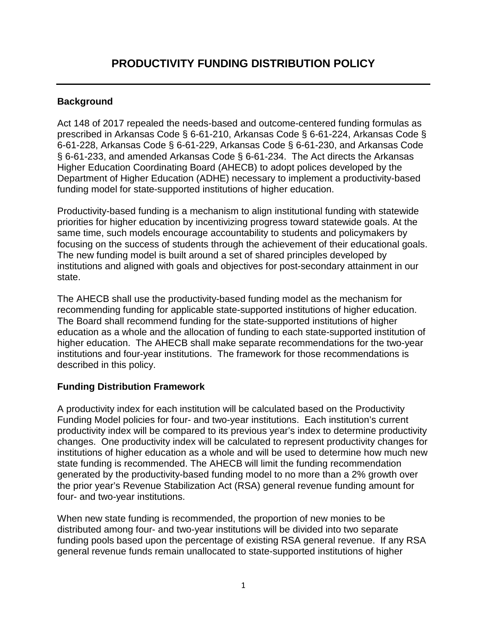## **Background**

Act 148 of 2017 repealed the needs-based and outcome-centered funding formulas as prescribed in Arkansas Code § 6-61-210, Arkansas Code § 6-61-224, Arkansas Code § 6-61-228, Arkansas Code § 6-61-229, Arkansas Code § 6-61-230, and Arkansas Code § 6-61-233, and amended Arkansas Code § 6-61-234. The Act directs the Arkansas Higher Education Coordinating Board (AHECB) to adopt polices developed by the Department of Higher Education (ADHE) necessary to implement a productivity-based funding model for state-supported institutions of higher education.

Productivity-based funding is a mechanism to align institutional funding with statewide priorities for higher education by incentivizing progress toward statewide goals. At the same time, such models encourage accountability to students and policymakers by focusing on the success of students through the achievement of their educational goals. The new funding model is built around a set of shared principles developed by institutions and aligned with goals and objectives for post-secondary attainment in our state.

The AHECB shall use the productivity-based funding model as the mechanism for recommending funding for applicable state-supported institutions of higher education. The Board shall recommend funding for the state-supported institutions of higher education as a whole and the allocation of funding to each state-supported institution of higher education. The AHECB shall make separate recommendations for the two-year institutions and four-year institutions. The framework for those recommendations is described in this policy.

## **Funding Distribution Framework**

A productivity index for each institution will be calculated based on the Productivity Funding Model policies for four- and two-year institutions. Each institution's current productivity index will be compared to its previous year's index to determine productivity changes. One productivity index will be calculated to represent productivity changes for institutions of higher education as a whole and will be used to determine how much new state funding is recommended. The AHECB will limit the funding recommendation generated by the productivity-based funding model to no more than a 2% growth over the prior year's Revenue Stabilization Act (RSA) general revenue funding amount for four- and two-year institutions.

When new state funding is recommended, the proportion of new monies to be distributed among four- and two-year institutions will be divided into two separate funding pools based upon the percentage of existing RSA general revenue. If any RSA general revenue funds remain unallocated to state-supported institutions of higher